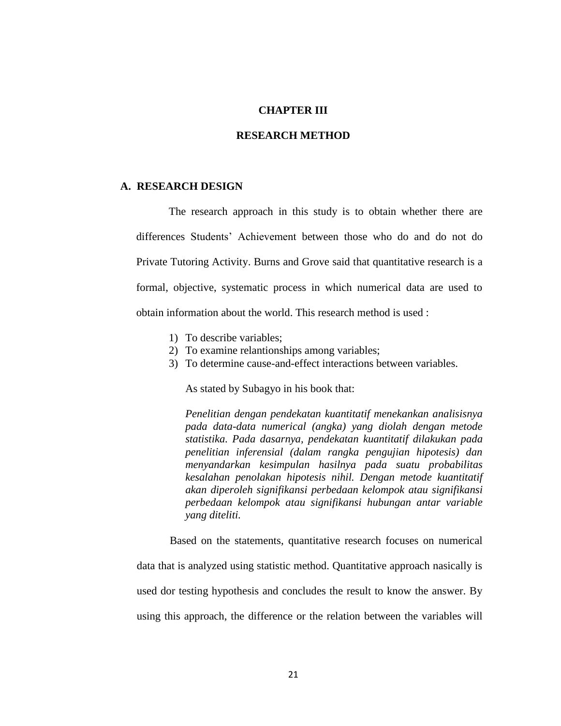#### **CHAPTER III**

#### **RESEARCH METHOD**

#### **A. RESEARCH DESIGN**

The research approach in this study is to obtain whether there are differences Students' Achievement between those who do and do not do Private Tutoring Activity. Burns and Grove said that quantitative research is a formal, objective, systematic process in which numerical data are used to obtain information about the world. This research method is used :

- 1) To describe variables;
- 2) To examine relantionships among variables;
- 3) To determine cause-and-effect interactions between variables.

As stated by Subagyo in his book that:

*Penelitian dengan pendekatan kuantitatif menekankan analisisnya pada data-data numerical (angka) yang diolah dengan metode statistika. Pada dasarnya, pendekatan kuantitatif dilakukan pada penelitian inferensial (dalam rangka pengujian hipotesis) dan menyandarkan kesimpulan hasilnya pada suatu probabilitas kesalahan penolakan hipotesis nihil. Dengan metode kuantitatif akan diperoleh signifikansi perbedaan kelompok atau signifikansi perbedaan kelompok atau signifikansi hubungan antar variable yang diteliti.*

Based on the statements, quantitative research focuses on numerical data that is analyzed using statistic method. Quantitative approach nasically is used dor testing hypothesis and concludes the result to know the answer. By using this approach, the difference or the relation between the variables will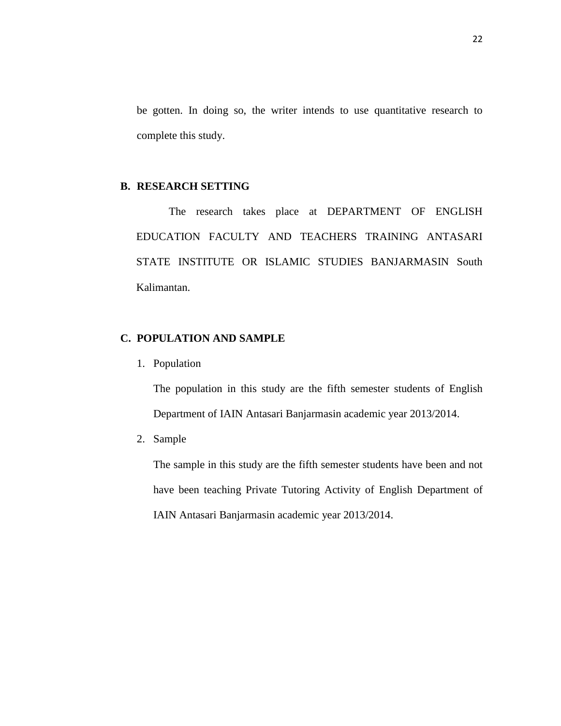be gotten. In doing so, the writer intends to use quantitative research to complete this study.

#### **B. RESEARCH SETTING**

The research takes place at DEPARTMENT OF ENGLISH EDUCATION FACULTY AND TEACHERS TRAINING ANTASARI STATE INSTITUTE OR ISLAMIC STUDIES BANJARMASIN South Kalimantan.

## **C. POPULATION AND SAMPLE**

1. Population

The population in this study are the fifth semester students of English Department of IAIN Antasari Banjarmasin academic year 2013/2014.

2. Sample

The sample in this study are the fifth semester students have been and not have been teaching Private Tutoring Activity of English Department of IAIN Antasari Banjarmasin academic year 2013/2014.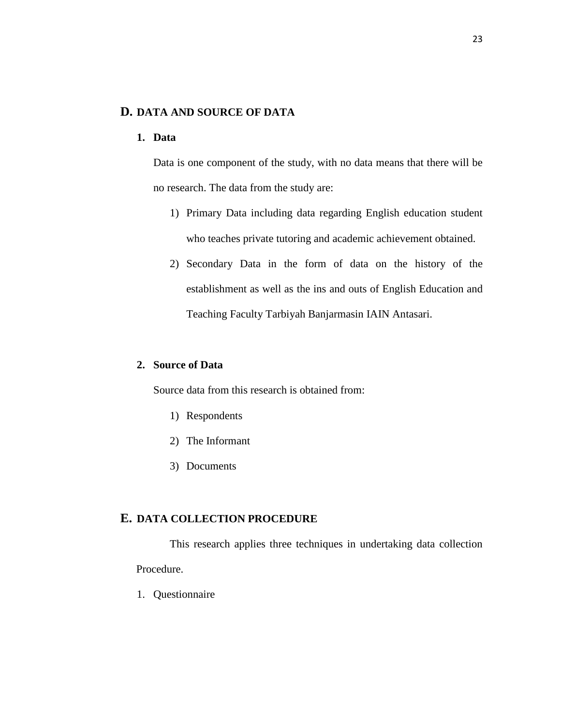# **D. DATA AND SOURCE OF DATA**

## **1. Data**

Data is one component of the study, with no data means that there will be no research. The data from the study are:

- 1) Primary Data including data regarding English education student who teaches private tutoring and academic achievement obtained.
- 2) Secondary Data in the form of data on the history of the establishment as well as the ins and outs of English Education and Teaching Faculty Tarbiyah Banjarmasin IAIN Antasari.

## **2. Source of Data**

Source data from this research is obtained from:

- 1) Respondents
- 2) The Informant
- 3) Documents

### **E. DATA COLLECTION PROCEDURE**

This research applies three techniques in undertaking data collection Procedure.

1. Questionnaire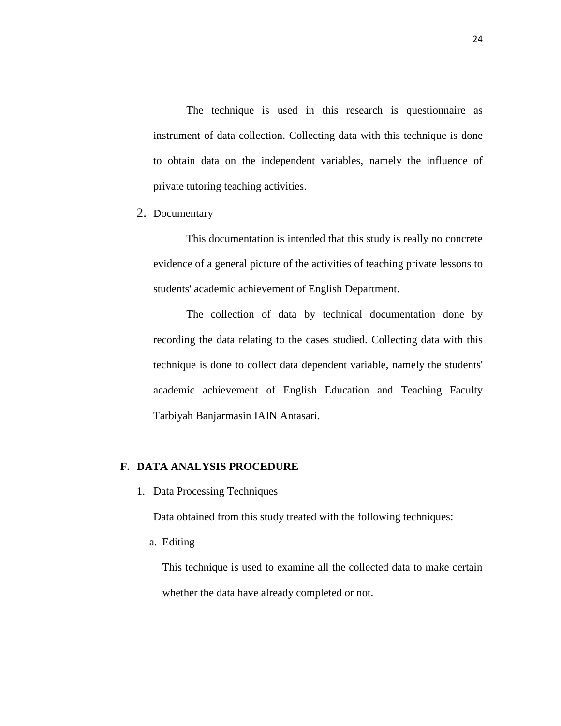The technique is used in this research is questionnaire as instrument of data collection. Collecting data with this technique is done to obtain data on the independent variables, namely the influence of private tutoring teaching activities.

2. Documentary

This documentation is intended that this study is really no concrete evidence of a general picture of the activities of teaching private lessons to students' academic achievement of English Department.

The collection of data by technical documentation done by recording the data relating to the cases studied. Collecting data with this technique is done to collect data dependent variable, namely the students' academic achievement of English Education and Teaching Faculty Tarbiyah Banjarmasin IAIN Antasari.

## **F. DATA ANALYSIS PROCEDURE**

1. Data Processing Techniques

Data obtained from this study treated with the following techniques:

a. Editing

This technique is used to examine all the collected data to make certain whether the data have already completed or not.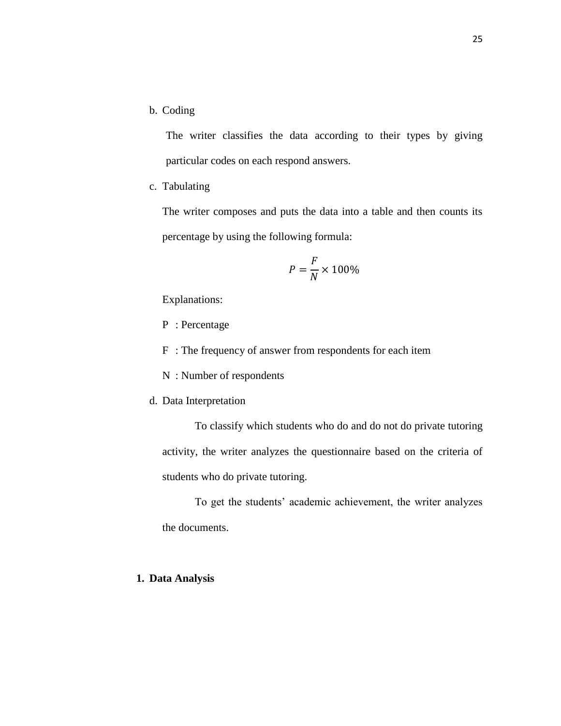b. Coding

The writer classifies the data according to their types by giving particular codes on each respond answers.

c. Tabulating

The writer composes and puts the data into a table and then counts its percentage by using the following formula:

$$
P = \frac{F}{N} \times 100\%
$$

Explanations:

- P : Percentage
- F : The frequency of answer from respondents for each item
- N : Number of respondents
- d. Data Interpretation

To classify which students who do and do not do private tutoring activity, the writer analyzes the questionnaire based on the criteria of students who do private tutoring.

To get the students' academic achievement, the writer analyzes the documents.

## **1. Data Analysis**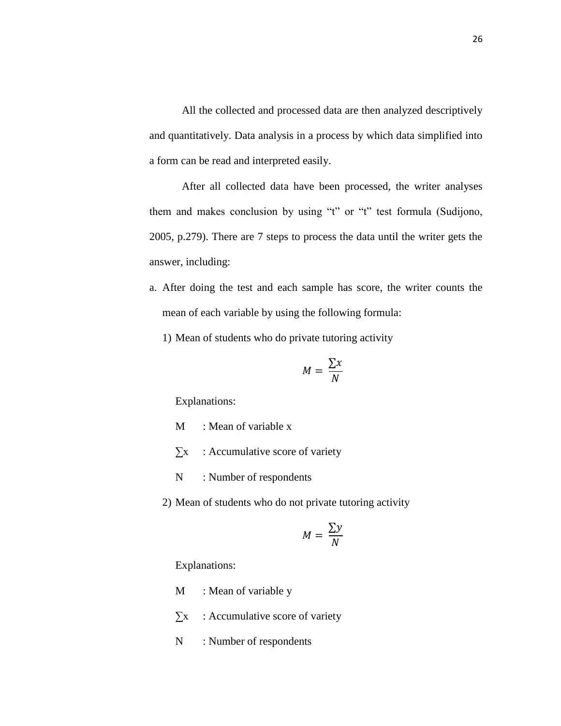All the collected and processed data are then analyzed descriptively and quantitatively. Data analysis in a process by which data simplified into a form can be read and interpreted easily.

After all collected data have been processed, the writer analyses them and makes conclusion by using "t" or "t" test formula (Sudijono, 2005, p.279). There are 7 steps to process the data until the writer gets the answer, including:

- a. After doing the test and each sample has score, the writer counts the mean of each variable by using the following formula:
	- 1) Mean of students who do private tutoring activity

$$
M = \frac{\sum x}{N}
$$

Explanations:

- M : Mean of variable x
- $\sum x$  : Accumulative score of variety
- N : Number of respondents
- 2) Mean of students who do not private tutoring activity

$$
M = \frac{\sum y}{N}
$$

Explanations:

- M : Mean of variable y
- $\sum x$  : Accumulative score of variety
- N : Number of respondents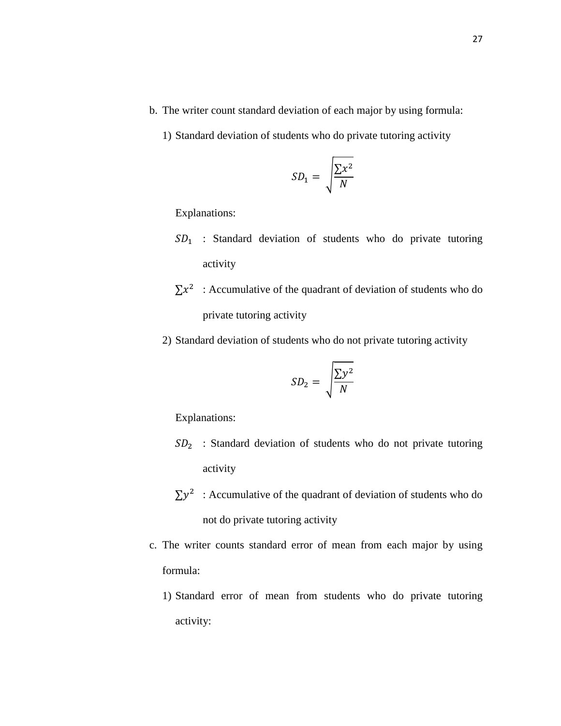- b. The writer count standard deviation of each major by using formula:
	- 1) Standard deviation of students who do private tutoring activity

$$
SD_1 = \sqrt{\frac{\sum x^2}{N}}
$$

Explanations:

- $SD<sub>1</sub>$ : Standard deviation of students who do private tutoring activity
- $\sum x^2$ : Accumulative of the quadrant of deviation of students who do private tutoring activity
- 2) Standard deviation of students who do not private tutoring activity

$$
SD_2 = \sqrt{\frac{\sum y^2}{N}}
$$

Explanations:

- $SD<sub>2</sub>$ : Standard deviation of students who do not private tutoring activity
- $\sum y^2$ : Accumulative of the quadrant of deviation of students who do not do private tutoring activity
- c. The writer counts standard error of mean from each major by using formula:
	- 1) Standard error of mean from students who do private tutoring activity: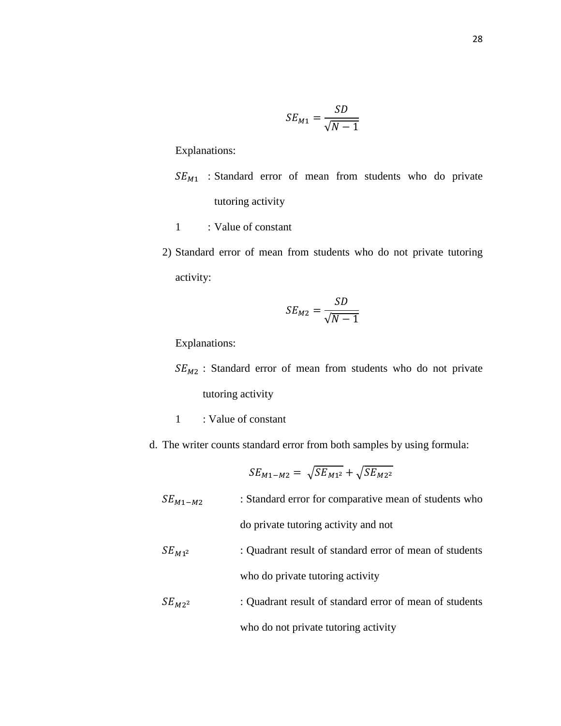$$
SE_{M1} = \frac{SD}{\sqrt{N - 1}}
$$

Explanations:

- $SE_{M1}$  : Standard error of mean from students who do private tutoring activity
- 1 : Value of constant
- 2) Standard error of mean from students who do not private tutoring activity:

$$
SE_{M2} = \frac{SD}{\sqrt{N-1}}
$$

Explanations:

 $SE_{M2}$ : Standard error of mean from students who do not private tutoring activity

- 1 : Value of constant
- d. The writer counts standard error from both samples by using formula:

$$
SE_{M1-M2} = \sqrt{SE_{M1^2}} + \sqrt{SE_{M2^2}}
$$

 $SE_{M1-M2}$  : Standard error for comparative mean of students who do private tutoring activity and not

- $SE_{M1^2}$  : Quadrant result of standard error of mean of students who do private tutoring activity
- $SE_{M2^2}$  : Quadrant result of standard error of mean of students who do not private tutoring activity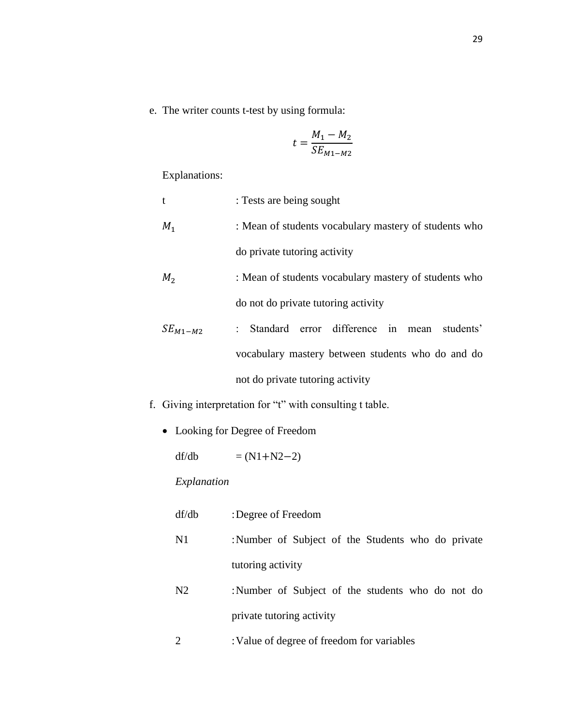e. The writer counts t-test by using formula:

$$
t = \frac{M_1 - M_2}{SE_{M1 - M2}}
$$

Explanations:

| t              | : Tests are being sought                              |
|----------------|-------------------------------------------------------|
| $M_1$          | : Mean of students vocabulary mastery of students who |
|                | do private tutoring activity                          |
| M <sub>2</sub> | : Mean of students vocabulary mastery of students who |
|                | do not do private tutoring activity                   |
| $SE_{M1-M2}$   | : Standard error difference in mean<br>students'      |
|                | vocabulary mastery between students who do and do     |
|                | not do private tutoring activity                      |

- f. Giving interpretation for "t" with consulting t table.
	- Looking for Degree of Freedom

df/db  $= (N1 + N2 - 2)$ 

# *Explanation*

| df/db | : Degree of Freedom                               |
|-------|---------------------------------------------------|
| N1    | :Number of Subject of the Students who do private |
|       | tutoring activity                                 |

- N2 :Number of Subject of the students who do not do private tutoring activity
- 2 :Value of degree of freedom for variables